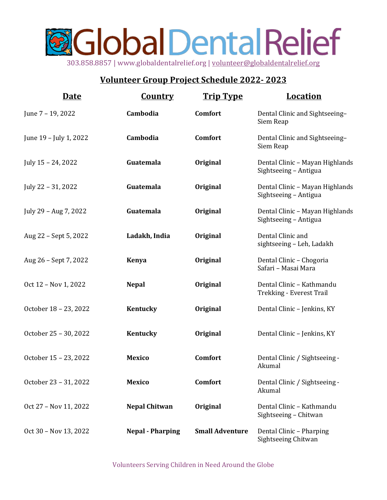## **A**Global Dental Relief 303.858.8857 | www.globaldentalrelief.org | volunteer@globaldentalrelief.org

## **Volunteer Group Project Schedule 2022- 2023**

| <u>Date</u>            | <b>Country</b>          | <b>Trip Type</b>       | <b>Location</b>                                          |
|------------------------|-------------------------|------------------------|----------------------------------------------------------|
| June 7 - 19, 2022      | Cambodia                | Comfort                | Dental Clinic and Sightseeing-<br>Siem Reap              |
| June 19 - July 1, 2022 | Cambodia                | <b>Comfort</b>         | Dental Clinic and Sightseeing-<br>Siem Reap              |
| July 15 - 24, 2022     | Guatemala               | Original               | Dental Clinic - Mayan Highlands<br>Sightseeing - Antigua |
| July 22 - 31, 2022     | Guatemala               | Original               | Dental Clinic - Mayan Highlands<br>Sightseeing - Antigua |
| July 29 - Aug 7, 2022  | Guatemala               | Original               | Dental Clinic - Mayan Highlands<br>Sightseeing - Antigua |
| Aug 22 - Sept 5, 2022  | Ladakh, India           | Original               | Dental Clinic and<br>sightseeing - Leh, Ladakh           |
| Aug 26 - Sept 7, 2022  | <b>Kenya</b>            | Original               | Dental Clinic - Chogoria<br>Safari - Masai Mara          |
| Oct 12 - Nov 1, 2022   | <b>Nepal</b>            | Original               | Dental Clinic - Kathmandu<br>Trekking - Everest Trail    |
| October 18 - 23, 2022  | Kentucky                | Original               | Dental Clinic - Jenkins, KY                              |
| October 25 - 30, 2022  | Kentucky                | Original               | Dental Clinic - Jenkins, KY                              |
| October 15 - 23, 2022  | <b>Mexico</b>           | <b>Comfort</b>         | Dental Clinic / Sightseeing -<br>Akumal                  |
| October 23 - 31, 2022  | <b>Mexico</b>           | Comfort                | Dental Clinic / Sightseeing -<br>Akumal                  |
| Oct 27 - Nov 11, 2022  | <b>Nepal Chitwan</b>    | Original               | Dental Clinic - Kathmandu<br>Sightseeing - Chitwan       |
| Oct 30 - Nov 13, 2022  | <b>Nepal - Pharping</b> | <b>Small Adventure</b> | Dental Clinic - Pharping<br>Sightseeing Chitwan          |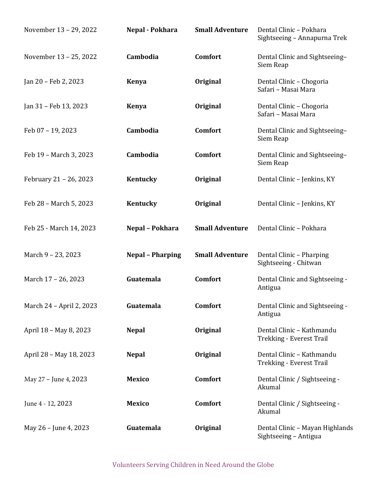| November 13 - 29, 2022   | Nepal - Pokhara         | <b>Small Adventure</b> | Dental Clinic - Pokhara<br>Sightseeing - Annapurna Trek  |
|--------------------------|-------------------------|------------------------|----------------------------------------------------------|
| November 13 - 25, 2022   | Cambodia                | Comfort                | Dental Clinic and Sightseeing-<br>Siem Reap              |
| Jan 20 - Feb 2, 2023     | <b>Kenya</b>            | Original               | Dental Clinic - Chogoria<br>Safari - Masai Mara          |
| Jan 31 – Feb 13, 2023    | <b>Kenya</b>            | Original               | Dental Clinic - Chogoria<br>Safari - Masai Mara          |
| Feb 07 - 19, 2023        | Cambodia                | Comfort                | Dental Clinic and Sightseeing-<br>Siem Reap              |
| Feb 19 - March 3, 2023   | Cambodia                | Comfort                | Dental Clinic and Sightseeing-<br>Siem Reap              |
| February 21 - 26, 2023   | Kentucky                | Original               | Dental Clinic - Jenkins, KY                              |
| Feb 28 - March 5, 2023   | Kentucky                | Original               | Dental Clinic - Jenkins, KY                              |
| Feb 25 - March 14, 2023  | Nepal - Pokhara         | <b>Small Adventure</b> | Dental Clinic - Pokhara                                  |
| March 9 - 23, 2023       | <b>Nepal - Pharping</b> | <b>Small Adventure</b> | Dental Clinic - Pharping<br>Sightseeing - Chitwan        |
| March 17 - 26, 2023      | Guatemala               | Comfort                | Dental Clinic and Sightseeing -<br>Antigua               |
| March 24 - April 2, 2023 | Guatemala               | Comfort                | Dental Clinic and Sightseeing -<br>Antigua               |
| April 18 - May 8, 2023   | <b>Nepal</b>            | Original               | Dental Clinic - Kathmandu<br>Trekking - Everest Trail    |
| April 28 - May 18, 2023  | <b>Nepal</b>            | Original               | Dental Clinic - Kathmandu<br>Trekking - Everest Trail    |
| May 27 - June 4, 2023    | <b>Mexico</b>           | Comfort                | Dental Clinic / Sightseeing -<br>Akumal                  |
| June 4 - 12, 2023        | <b>Mexico</b>           | Comfort                | Dental Clinic / Sightseeing -<br>Akumal                  |
| May 26 - June 4, 2023    | Guatemala               | Original               | Dental Clinic - Mayan Highlands<br>Sightseeing - Antigua |